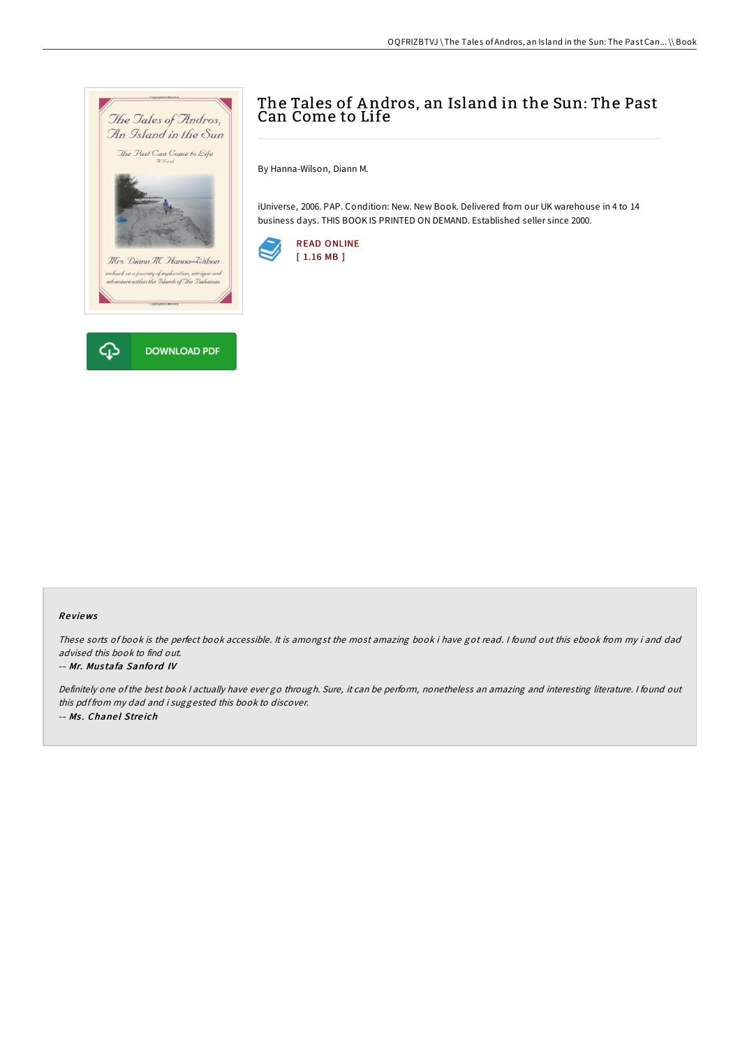

# The Tales of Andros, an Island in the Sun: The Past Can Come to Life

By Hanna-Wilson, Diann M.

iUniverse, 2006. PAP. Condition: New. New Book. Delivered from our UK warehouse in 4 to 14 business days. THIS BOOK IS PRINTED ON DEMAND. Established seller since 2000.



#### Re views

These sorts of book is the perfect book accessible. It is amongst the most amazing book i have got read. <sup>I</sup> found out this ebook from my i and dad advised this book to find out.

#### -- Mr. Mustafa Sanford IV

Definitely one of the best book <sup>I</sup> actually have ever go through. Sure, it can be perform, nonetheless an amazing and interesting literature. <sup>I</sup> found out this pdf from my dad and i suggested this book to discover. -- Ms. Chanel Streich